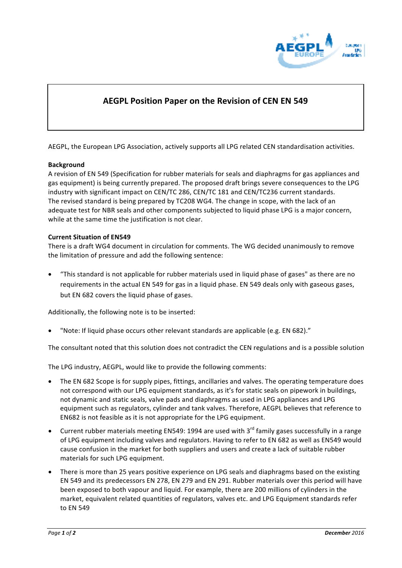

# **AEGPL Position Paper on the Revision of CEN EN 549**

AEGPL, the European LPG Association, actively supports all LPG related CEN standardisation activities.

#### **Background**

A revision of EN 549 (Specification for rubber materials for seals and diaphragms for gas appliances and gas equipment) is being currently prepared. The proposed draft brings severe consequences to the LPG industry with significant impact on CEN/TC 286, CEN/TC 181 and CEN/TC236 current standards. The revised standard is being prepared by TC208 WG4. The change in scope, with the lack of an adequate test for NBR seals and other components subjected to liquid phase LPG is a major concern, while at the same time the justification is not clear.

#### **Current Situation of EN549**

There is a draft WG4 document in circulation for comments. The WG decided unanimously to remove the limitation of pressure and add the following sentence:

"This standard is not applicable for rubber materials used in liquid phase of gases" as there are no requirements in the actual EN 549 for gas in a liquid phase. EN 549 deals only with gaseous gases, but EN 682 covers the liquid phase of gases.

Additionally, the following note is to be inserted:

"Note: If liquid phase occurs other relevant standards are applicable (e.g. EN 682)."

The consultant noted that this solution does not contradict the CEN regulations and is a possible solution

The LPG industry, AEGPL, would like to provide the following comments:

- The EN 682 Scope is for supply pipes, fittings, ancillaries and valves. The operating temperature does not correspond with our LPG equipment standards, as it's for static seals on pipework in buildings, not dynamic and static seals, valve pads and diaphragms as used in LPG appliances and LPG equipment such as regulators, cylinder and tank valves. Therefore, AEGPL believes that reference to EN682 is not feasible as it is not appropriate for the LPG equipment.
- Current rubber materials meeting EN549: 1994 are used with  $3<sup>rd</sup>$  family gases successfully in a range of LPG equipment including valves and regulators. Having to refer to EN 682 as well as EN549 would cause confusion in the market for both suppliers and users and create a lack of suitable rubber materials for such LPG equipment.
- There is more than 25 years positive experience on LPG seals and diaphragms based on the existing EN 549 and its predecessors EN 278, EN 279 and EN 291. Rubber materials over this period will have been exposed to both vapour and liquid. For example, there are 200 millions of cylinders in the market, equivalent related quantities of regulators, valves etc. and LPG Equipment standards refer to EN 549